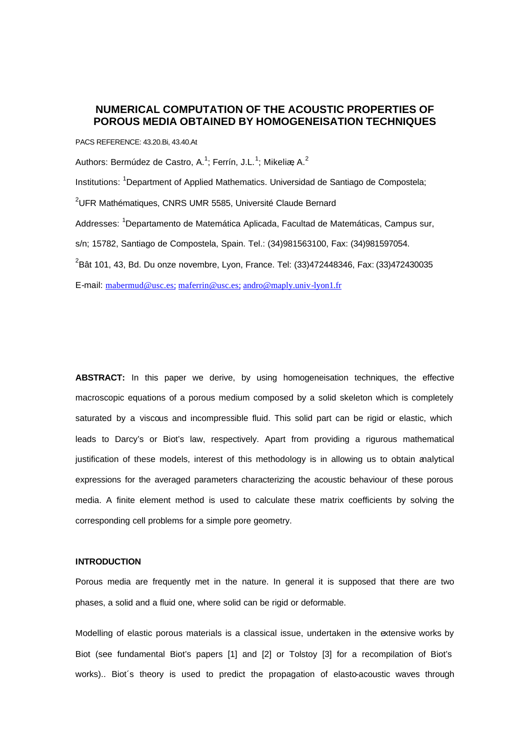# **NUMERICAL COMPUTATION OF THE ACOUSTIC PROPERTIES OF POROUS MEDIA OBTAINED BY HOMOGENEISATION TECHNIQUES**

PACS REFERENCE: 43.20.Bi, 43.40.At

Authors: Bermúdez de Castro, A.<sup>1</sup>; Ferrín, J.L.<sup>1</sup>; Mikeliæ A.<sup>2</sup>

Institutions: <sup>1</sup>Department of Applied Mathematics. Universidad de Santiago de Compostela;  $2$ UFR Mathématiques, CNRS UMR 5585, Université Claude Bernard Addresses: <sup>1</sup>Departamento de Matemática Aplicada, Facultad de Matemáticas, Campus sur, s/n; 15782, Santiago de Compostela, Spain. Tel.: (34)981563100, Fax: (34)981597054. <sup>2</sup> Bât 101, 43, Bd. Du onze novembre, Lyon, France. Tel: (33)472448346, Fax: (33)472430035 E-mail: mabermud@usc.es; maferrin@usc.es; andro@maply.univ-lyon1.fr

**ABSTRACT:** In this paper we derive, by using homogeneisation techniques, the effective macroscopic equations of a porous medium composed by a solid skeleton which is completely saturated by a viscous and incompressible fluid. This solid part can be rigid or elastic, which leads to Darcy's or Biot's law, respectively. Apart from providing a rigurous mathematical justification of these models, interest of this methodology is in allowing us to obtain analytical expressions for the averaged parameters characterizing the acoustic behaviour of these porous media. A finite element method is used to calculate these matrix coefficients by solving the corresponding cell problems for a simple pore geometry.

### **INTRODUCTION**

Porous media are frequently met in the nature. In general it is supposed that there are two phases, a solid and a fluid one, where solid can be rigid or deformable.

Modelling of elastic porous materials is a classical issue, undertaken in the extensive works by Biot (see fundamental Biot's papers [1] and [2] or Tolstoy [3] for a recompilation of Biot's works).. Biot´s theory is used to predict the propagation of elasto-acoustic waves through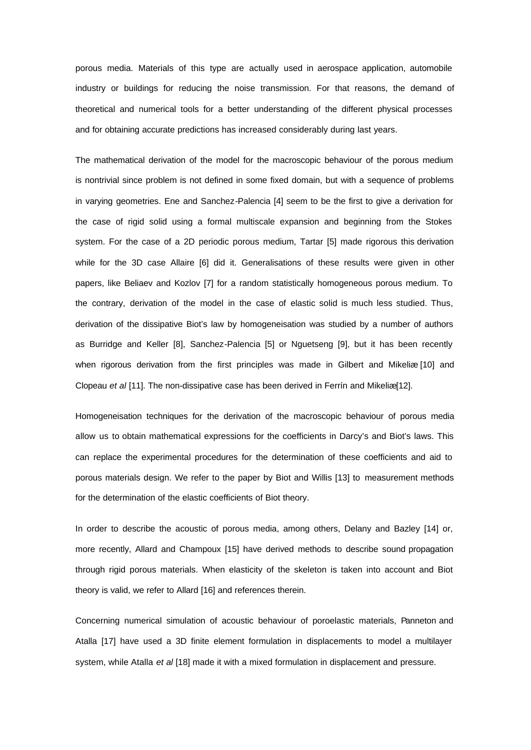porous media. Materials of this type are actually used in aerospace application, automobile industry or buildings for reducing the noise transmission. For that reasons, the demand of theoretical and numerical tools for a better understanding of the different physical processes and for obtaining accurate predictions has increased considerably during last years.

The mathematical derivation of the model for the macroscopic behaviour of the porous medium is nontrivial since problem is not defined in some fixed domain, but with a sequence of problems in varying geometries. Ene and Sanchez-Palencia [4] seem to be the first to give a derivation for the case of rigid solid using a formal multiscale expansion and beginning from the Stokes system. For the case of a 2D periodic porous medium, Tartar [5] made rigorous this derivation while for the 3D case Allaire [6] did it. Generalisations of these results were given in other papers, like Beliaev and Kozlov [7] for a random statistically homogeneous porous medium. To the contrary, derivation of the model in the case of elastic solid is much less studied. Thus, derivation of the dissipative Biot's law by homogeneisation was studied by a number of authors as Burridge and Keller [8], Sanchez-Palencia [5] or Nguetseng [9], but it has been recently when rigorous derivation from the first principles was made in Gilbert and Mikeliæ [10] and Clopeau *et al* [11]. The non-dissipative case has been derived in Ferrín and Mikeliæ [12].

Homogeneisation techniques for the derivation of the macroscopic behaviour of porous media allow us to obtain mathematical expressions for the coefficients in Darcy's and Biot's laws. This can replace the experimental procedures for the determination of these coefficients and aid to porous materials design. We refer to the paper by Biot and Willis [13] to measurement methods for the determination of the elastic coefficients of Biot theory.

In order to describe the acoustic of porous media, among others, Delany and Bazley [14] or, more recently, Allard and Champoux [15] have derived methods to describe sound propagation through rigid porous materials. When elasticity of the skeleton is taken into account and Biot theory is valid, we refer to Allard [16] and references therein.

Concerning numerical simulation of acoustic behaviour of poroelastic materials, Panneton and Atalla [17] have used a 3D finite element formulation in displacements to model a multilayer system, while Atalla *et al* [18] made it with a mixed formulation in displacement and pressure.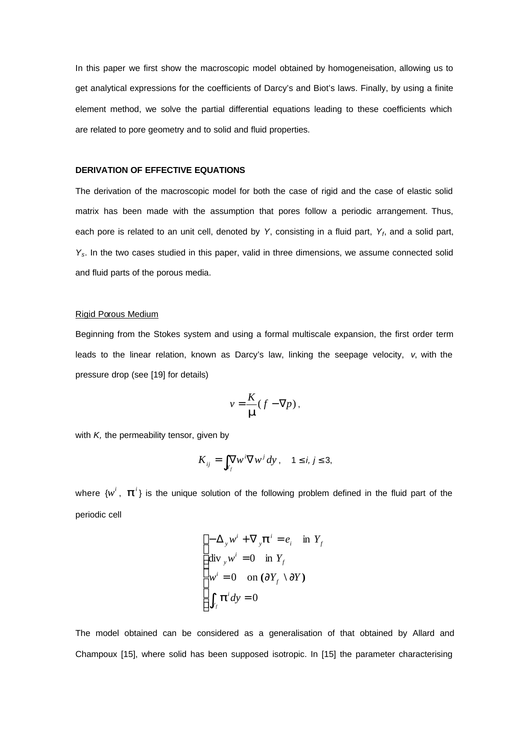In this paper we first show the macroscopic model obtained by homogeneisation, allowing us to get analytical expressions for the coefficients of Darcy's and Biot's laws. Finally, by using a finite element method, we solve the partial differential equations leading to these coefficients which are related to pore geometry and to solid and fluid properties.

### **DERIVATION OF EFFECTIVE EQUATIONS**

The derivation of the macroscopic model for both the case of rigid and the case of elastic solid matrix has been made with the assumption that pores follow a periodic arrangement. Thus, each pore is related to an unit cell, denoted by *Y*, consisting in a fluid part, *Y<sup>f</sup>* , and a solid part, *Ys*. In the two cases studied in this paper, valid in three dimensions, we assume connected solid and fluid parts of the porous media.

#### Rigid Porous Medium

Beginning from the Stokes system and using a formal multiscale expansion, the first order term leads to the linear relation, known as Darcy's law, linking the seepage velocity, *v*, with the pressure drop (see [19] for details)

$$
v = \frac{K}{m}(f - \nabla p),
$$

with *K*, the permeability tensor, given by

$$
K_{ij} = \int_{Y_f} \nabla w^i \nabla w^j \, dy \,, \quad 1 \le i, j \le 3,
$$

where  $\{w^i, \boldsymbol{p}^i\}$  is the unique solution of the following problem defined in the fluid part of the periodic cell

$$
\begin{cases}\n-\Delta_y w^i + \nabla_y \mathbf{p}^i = e_i & \text{in } Y_f \\
\text{div}_y w^i = 0 & \text{in } Y_f \\
w^i = 0 & \text{on } (\partial Y_f \setminus \partial Y) \\
\int_{Y_f} \mathbf{p}^i dy = 0\n\end{cases}
$$

The model obtained can be considered as a generalisation of that obtained by Allard and Champoux [15], where solid has been supposed isotropic. In [15] the parameter characterising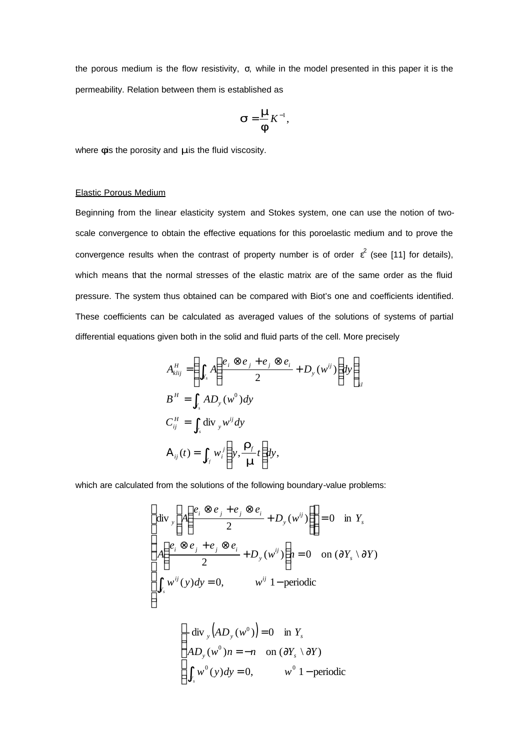the porous medium is the flow resistivity, σ, while in the model presented in this paper it is the permeability. Relation between them is established as

$$
\mathbf{S} = \frac{\mathbf{m}}{\mathbf{f}} K^{-1},
$$

where *f* is the porosity and *m* is the fluid viscosity.

### Elastic Porous Medium

Beginning from the linear elasticity system and Stokes system, one can use the notion of twoscale convergence to obtain the effective equations for this poroelastic medium and to prove the convergence results when the contrast of property number is of order  $\varepsilon^2$  (see [11] for details), which means that the normal stresses of the elastic matrix are of the same order as the fluid pressure. The system thus obtained can be compared with Biot's one and coefficients identified. These coefficients can be calculated as averaged values of the solutions of systems of partial differential equations given both in the solid and fluid parts of the cell. More precisely

$$
A_{klij}^H = \left( \int_{Y_s} A \left( \frac{e_i \otimes e_j + e_j \otimes e_i}{2} + D_y (w^{ij}) \right) dy \right)_{kl}
$$
  
\n
$$
B^H = \int_{Y_s} A D_y (w^0) dy
$$
  
\n
$$
C_{ij}^H = \int_{Y_s} \text{div}_y w^{ij} dy
$$
  
\n
$$
A_{ij}(t) = \int_{Y_f} w_i \left( y, \frac{\mathbf{r}_f}{m} t \right) dy,
$$

which are calculated from the solutions of the following boundary-value problems:

$$
\begin{cases}\n\text{div}\,_{y}\left[A\left(\frac{e_{i}\otimes e_{j}+e_{j}\otimes e_{i}}{2}+D_{y}(w^{ij})\right)\right]=0 & \text{in } Y_{s} \\
A\left(\frac{e_{i}\otimes e_{j}+e_{j}\otimes e_{i}}{2}+D_{y}(w^{ij})\right)n=0 & \text{on } (\partial Y_{s}\setminus\partial Y) \\
\int_{Y_{s}} w^{ij}(y)dy=0, & w^{ij}\ 1-\text{periodic} \\
\left(-\text{div}\,_{y}\left(AD_{y}(w^{0})\right)=0 & \text{in } Y_{s} \\
AD_{y}(w^{0})n=-n & \text{on } (\partial Y_{s}\setminus\partial Y) \\
\int_{Y_{s}} w^{0}(y)dy=0, & w^{0}\ 1-\text{periodic}\n\end{cases}
$$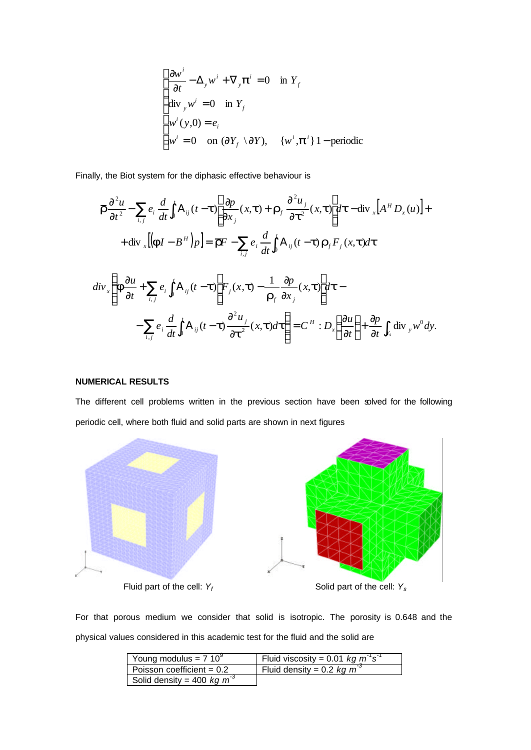$$
\begin{cases}\n\frac{\partial w^i}{\partial t} - \Delta_y w^i + \nabla_y \mathbf{p}^i = 0 & \text{in } Y_f \\
\text{div}_y w^i = 0 & \text{in } Y_f \\
w^i(y,0) = e_i \\
w^i = 0 & \text{on } (\partial Y_f \setminus \partial Y), \quad \{w^i, \mathbf{p}^i\} \, 1 - \text{periodic}\n\end{cases}
$$

Finally, the Biot system for the diphasic effective behaviour is

$$
\overline{F} \frac{\partial^2 u}{\partial t^2} - \sum_{i,j} e_i \frac{d}{dt} \int_0^t A_{ij} (t - t) \left[ \frac{\partial p}{\partial x_j} (x, t) + \overline{r}_f \frac{\partial^2 u_j}{\partial t^2} (x, t) \right] dt - \text{div}_x \left[ A^H D_x (u) \right] +
$$
  
+ 
$$
\text{div}_x \left[ \left( \mathbf{F} I - B^H \right) p \right] = \overline{F} F - \sum_{i,j} e_i \frac{d}{dt} \int_0^t A_{ij} (t - t) \mathbf{r}_f F_j (x, t) dt
$$
  

$$
\text{div}_x \left\{ \mathbf{f} \frac{\partial u}{\partial t} + \sum_{i,j} e_i \int_0^t A_{ij} (t - t) \left[ F_j (x, t) - \frac{1}{\mathbf{r}_f} \frac{\partial p}{\partial x_j} (x, t) \right] dt -
$$

$$
- \sum_{i,j} e_i \frac{d}{dt} \int_0^t A_{ij} (t - t) \frac{\partial^2 u_j}{\partial t^2} (x, t) dt \right\} = C^H : D_x \left( \frac{\partial u}{\partial t} \right) + \frac{\partial p}{\partial t} \int_{x_i} \text{div}_y w^0 dy.
$$

## **NUMERICAL RESULTS**

The different cell problems written in the previous section have been solved for the following periodic cell, where both fluid and solid parts are shown in next figures



For that porous medium we consider that solid is isotropic. The porosity is 0.648 and the physical values considered in this academic test for the fluid and the solid are

| Young modulus = $7.10^9$     | Fluid viscosity = 0.01 kg $m^3 s^3$ |
|------------------------------|-------------------------------------|
| Poisson coefficient = $0.2$  | Fluid density = 0.2 kg $m^{-3}$     |
| Solid density = 400 kg $m^3$ |                                     |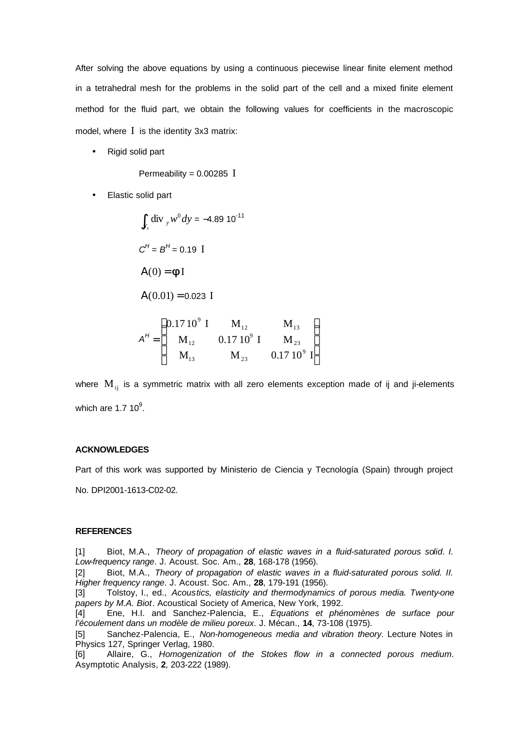After solving the above equations by using a continuous piecewise linear finite element method in a tetrahedral mesh for the problems in the solid part of the cell and a mixed finite element method for the fluid part, we obtain the following values for coefficients in the macroscopic model, where I is the identity 3x3 matrix:

• Rigid solid part

Permeability = 0.00285 I

• Elastic solid part

$$
\int_{Y_s} \text{div}_y w^0 dy = -4.89 \, 10^{-11}
$$
\n
$$
C^H = B^H = 0.19 \text{ I}
$$
\n
$$
A(0) = fI
$$
\n
$$
A(0.01) = 0.023 \text{ I}
$$
\n
$$
A^H = \begin{pmatrix} 0.17 \, 10^9 \, \text{I} & M_{12} & M_{13} \\ M_{12} & 0.17 \, 10^9 \, \text{I} & M_{23} \\ M_{13} & M_{23} & 0.17 \, 10^9 \, \text{I} \end{pmatrix}
$$

where  $M_{ii}$  is a symmetric matrix with all zero elements exception made of ij and ji-elements which are 1.7 10 $^9$ .

#### **ACKNOWLEDGES**

Part of this work was supported by Ministerio de Ciencia y Tecnología (Spain) through project

No. DPI2001-1613-C02-02.

### **REFERENCES**

[1] Biot, M.A., *Theory of propagation of elastic waves in a fluid-saturated porous solid. I. Low-frequency range*. J. Acoust. Soc. Am., **28**, 168-178 (1956).

[2] Biot, M.A., *Theory of propagation of elastic waves in a fluid-saturated porous solid. II. Higher frequency range*. J. Acoust. Soc. Am., **28**, 179-191 (1956).

[3] Tolstoy, I., ed., *Acoustics, elasticity and thermodynamics of porous media. Twenty-one papers by M.A. Biot*. Acoustical Society of America, New York, 1992.

[4] Ene, H.I. and Sanchez-Palencia, E., *Equations et phénomènes de surface pour l'écoulement dans un modèle de milieu poreux*. J. Mécan., **14**, 73-108 (1975).

[5] Sanchez-Palencia, E., *Non-homogeneous media and vibration theory*. Lecture Notes in Physics 127, Springer Verlag, 1980.

[6] Allaire, G., *Homogenization of the Stokes flow in a connected porous medium*. Asymptotic Analysis, **2**, 203-222 (1989).